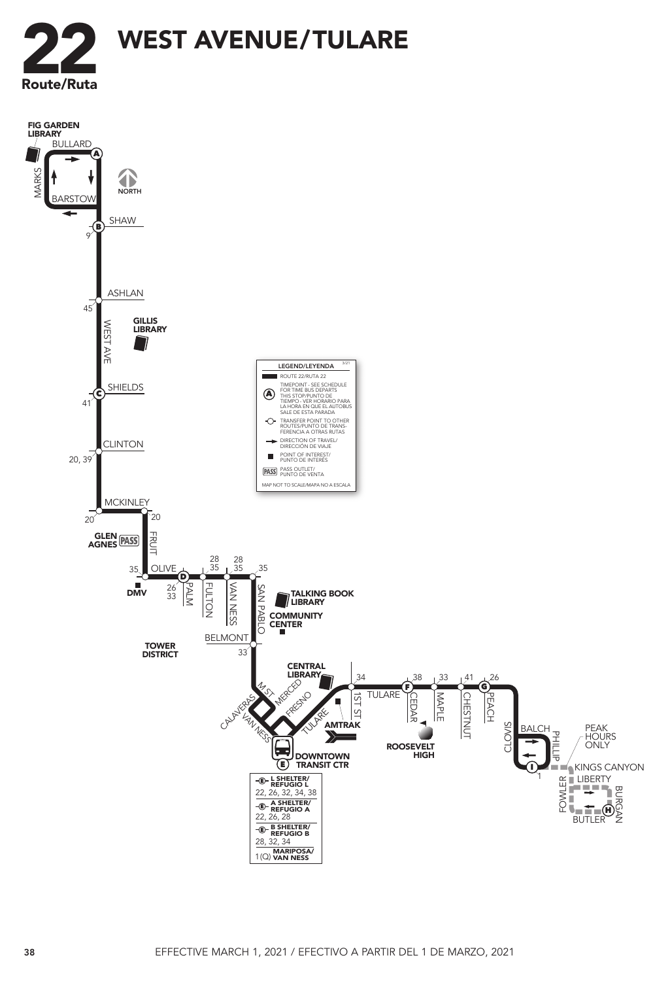

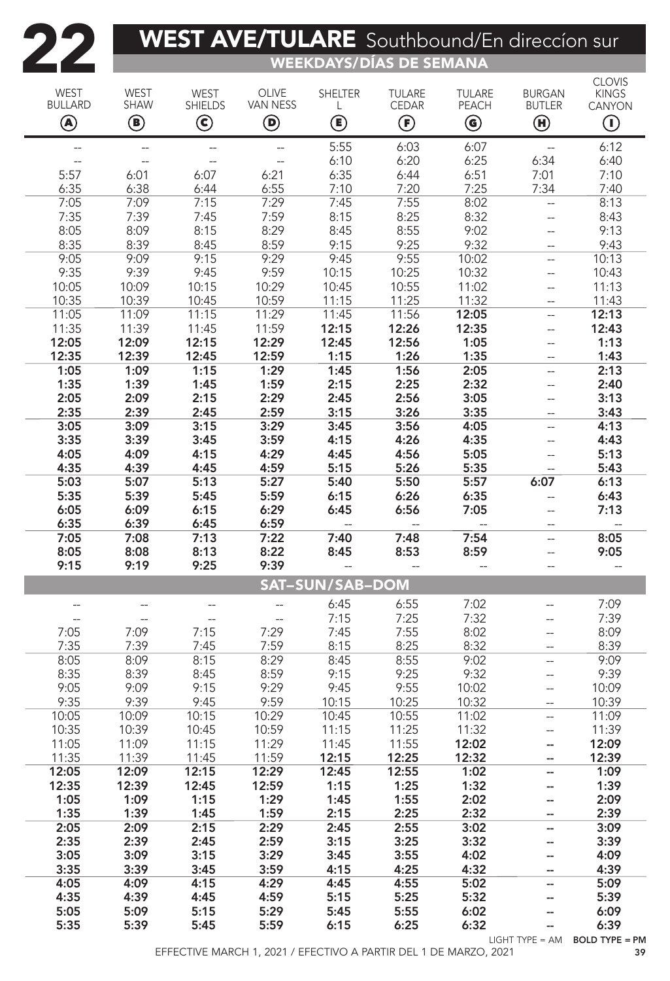## **222 WEST AVE/TULARE** Southbound/En direccion sure

WEEKDAYS/DÍAS DE SEMANA

| WEST<br><b>BULLARD</b>   | <b>WEST</b><br>SHAW | WEST<br><b>SHIELDS</b>   | OLIVE<br>VAN NESS        | <b>SHELTER</b><br>L       | <b>TULARE</b><br>CEDAR              | <b>TULARE</b><br>PEACH                  | <b>BURGAN</b><br><b>BUTLER</b> | <b>CLOVIS</b><br><b>KINGS</b><br>CANYON |
|--------------------------|---------------------|--------------------------|--------------------------|---------------------------|-------------------------------------|-----------------------------------------|--------------------------------|-----------------------------------------|
| ◉                        | ◉                   | $\mathbf{\copyright}$    | $\bm{\mathsf{\Theta}}$   | $\textcircled{\small{1}}$ | $\bm{\mathop{\mathrm{\mathbb{E}}}}$ | $\textcircled{\scriptsize{\textbf{0}}}$ | $\bm \Theta$                   | $\textcircled{\small{1}}$               |
|                          | $\qquad \qquad -$   | $\overline{\phantom{a}}$ |                          | 5:55                      | 6:03                                | 6:07                                    | $\overline{a}$                 | 6:12                                    |
|                          | $\overline{a}$      | $\overline{\phantom{a}}$ | $\overline{\phantom{a}}$ | 6:10                      | 6:20                                | 6:25                                    | 6:34                           | 6:40                                    |
| 5:57                     | 6:01                | 6:07                     | 6:21                     | 6:35                      | 6:44                                | 6:51                                    | 7:01                           | 7:10                                    |
| 6:35                     | 6:38                | 6:44                     | 6:55                     | 7:10                      | 7:20                                | 7:25                                    | 7:34                           | 7:40                                    |
| 7:05                     | 7:09                | 7:15                     | 7:29                     | 7:45                      | 7:55                                | 8:02                                    | Щ,                             | 8:13                                    |
| 7:35                     | 7:39                | 7:45                     | 7:59                     | 8:15                      | 8:25                                | 8:32                                    | $\overline{a}$                 | 8:43                                    |
| 8:05                     | 8:09                | 8:15                     | 8:29                     | 8:45                      | 8:55                                | 9:02                                    | --                             | 9:13                                    |
| 8:35                     | 8:39                | 8:45                     | 8:59                     | 9:15                      | 9:25                                | 9:32                                    |                                | 9:43                                    |
| 9:05                     | 9:09                | 9:15                     | 9:29                     | 9:45                      | 9:55                                | 10:02                                   | --                             | 10:13                                   |
| 9:35                     | 9:39                | 9:45                     | 9:59                     | 10:15                     | 10:25                               | 10:32                                   | --                             | 10:43                                   |
| 10:05                    | 10:09               | 10:15                    | 10:29                    | 10:45                     | 10:55                               | 11:02                                   | --                             | 11:13                                   |
| 10:35                    | 10:39               | 10:45                    | 10:59                    | 11:15                     | 11:25                               | 11:32                                   |                                | 11:43                                   |
| 11:05                    | 11:09               | 11:15                    | 11:29                    | 11:45                     | 11:56                               | 12:05                                   | Ξ.                             | 12:13                                   |
| 11:35                    | 11:39               | 11:45                    | 11:59                    | 12:15                     | 12:26                               | 12:35                                   | $\overline{\phantom{a}}$       | 12:43                                   |
| 12:05                    | 12:09               | 12:15                    | 12:29                    | 12:45                     | 12:56                               | 1:05                                    | --                             | 1:13                                    |
| 12:35<br>1:05            | 12:39<br>1:09       | 12:45<br>1:15            | 12:59<br>1:29            | 1:15<br>1:45              | 1:26<br>1:56                        | 1:35<br>2:05                            | Ξ.                             | 1:43<br>2:13                            |
| 1:35                     | 1:39                | 1:45                     | 1:59                     | 2:15                      | 2:25                                | 2:32                                    |                                | 2:40                                    |
| 2:05                     | 2:09                | 2:15                     | 2:29                     | 2:45                      | 2:56                                | 3:05                                    | --                             | 3:13                                    |
| 2:35                     | 2:39                | 2:45                     | 2:59                     | 3:15                      | 3:26                                | 3:35                                    | --                             | 3:43                                    |
| 3:05                     | 3:09                | 3:15                     | 3:29                     | 3:45                      | 3:56                                | 4:05                                    | --                             | 4:13                                    |
| 3:35                     | 3:39                | 3:45                     | 3:59                     | 4:15                      | 4:26                                | 4:35                                    | $\overline{a}$                 | 4:43                                    |
| 4:05                     | 4:09                | 4:15                     | 4:29                     | 4:45                      | 4:56                                | 5:05                                    | --                             | 5:13                                    |
| 4:35                     | 4:39                | 4:45                     | 4:59                     | 5:15                      | 5:26                                | 5:35                                    |                                | 5:43                                    |
| 5:03                     | 5:07                | 5:13                     | 5:27                     | 5:40                      | 5:50                                | 5:57                                    | 6:07                           | 6:13                                    |
| 5:35                     | 5:39                | 5:45                     | 5:59                     | 6:15                      | 6:26                                | 6:35                                    | --                             | 6:43                                    |
| 6:05                     | 6:09                | 6:15                     | 6:29                     | 6:45                      | 6:56                                | 7:05                                    | $\overline{a}$                 | 7:13                                    |
| 6:35                     | 6:39                | 6:45                     | 6:59                     | $\overline{\phantom{a}}$  | $-$                                 |                                         |                                |                                         |
| 7:05                     | 7:08                | 7:13                     | 7:22                     | 7:40                      | 7:48                                | 7:54                                    | --                             | 8:05                                    |
| 8:05                     | 8:08                | 8:13                     | 8:22                     | 8:45                      | 8:53                                | 8:59                                    | $-$                            | 9:05                                    |
| 9:15                     | 9:19                | 9:25                     | 9:39                     |                           | $-$                                 |                                         |                                | $\overline{\phantom{a}}$                |
| <b>SAT-SUN/SAB-DOM</b>   |                     |                          |                          |                           |                                     |                                         |                                |                                         |
|                          |                     |                          |                          | 6:45                      | 6:55                                | 7:02                                    | --                             | 7:09                                    |
| $\overline{\phantom{a}}$ | --                  | --                       | $\overline{a}$           | 7:15                      | 7:25                                | 7:32                                    |                                | 7:39                                    |
| 7:05                     | 7:09                | 7:15                     | 7:29                     | 7:45                      | 7:55                                | 8:02                                    |                                | 8:09                                    |
| 7:35                     | 7:39                | 7:45                     | 7:59                     | 8:15                      | 8:25                                | 8:32                                    |                                | 8:39                                    |
| 8:05                     | 8:09                | 8:15                     | 8:29                     | 8:45                      | 8:55                                | 9:02                                    | --                             | 9:09                                    |
| 8:35                     | 8:39                | 8:45                     | 8:59                     | 9:15                      | 9:25                                | 9:32                                    |                                | 9:39                                    |
| 9:05                     | 9:09                | 9:15                     | 9:29                     | 9:45                      | 9:55                                | 10:02                                   | $\qquad \qquad -$              | 10:09                                   |
| 9:35                     | 9:39                | 9:45                     | 9:59                     | 10:15                     | 10:25                               | 10:32                                   |                                | 10:39                                   |
| 10:05<br>10:35           | 10:09<br>10:39      | 10:15<br>10:45           | 10:29<br>10:59           | 10:45<br>11:15            | 10:55<br>11:25                      | 11:02<br>11:32                          | $\overline{a}$                 | 11:09<br>11:39                          |
| 11:05                    | 11:09               | 11:15                    | 11:29                    | 11:45                     | 11:55                               | 12:02                                   | $\overline{a}$<br>--           | 12:09                                   |
| 11:35                    | 11:39               | 11:45                    | 11:59                    | 12:15                     | 12:25                               | 12:32                                   | --                             | 12:39                                   |
| 12:05                    | 12:09               | 12:15                    | 12:29                    | 12:45                     | 12:55                               | 1:02                                    | --                             | 1:09                                    |
| 12:35                    | 12:39               | 12:45                    | 12:59                    | 1:15                      | 1:25                                | 1:32                                    | --                             | 1:39                                    |
| 1:05                     | 1:09                | 1:15                     | 1:29                     | 1:45                      | 1:55                                | 2:02                                    | --                             | 2:09                                    |
| 1:35                     | 1:39                | 1:45                     | 1:59                     | 2:15                      | 2:25                                | 2:32                                    |                                | 2:39                                    |
| 2:05                     | 2:09                | 2:15                     | 2:29                     | 2:45                      | 2:55                                | 3:02                                    | --                             | 3:09                                    |
| 2:35                     | 2:39                | 2:45                     | 2:59                     | 3:15                      | 3:25                                | 3:32                                    | --                             | 3:39                                    |
| 3:05                     | 3:09                | 3:15                     | 3:29                     | 3:45                      | 3:55                                | 4:02                                    | --                             | 4:09                                    |
| 3:35                     | 3:39                | 3:45                     | 3:59                     | 4:15                      | 4:25                                | 4:32                                    |                                | 4:39                                    |
| 4:05                     | 4:09                | 4:15                     | 4:29                     | 4:45                      | 4:55                                | 5:02                                    | --                             | 5:09                                    |
| 4:35                     | 4:39                | 4:45                     | 4:59                     | 5:15                      | 5:25                                | 5:32                                    | --                             | 5:39                                    |
| 5:05                     | 5:09                | 5:15                     | 5:29                     | 5:45                      | 5:55                                | 6:02                                    | --                             | 6:09                                    |
| 5:35                     | 5:39                | 5:45                     | 5:59                     | 6:15                      | 6:25                                | 6:32                                    | --                             | 6:39                                    |
|                          |                     |                          |                          |                           |                                     |                                         |                                | LIGHT TYPE = AM  BOLD TYPE = PM         |